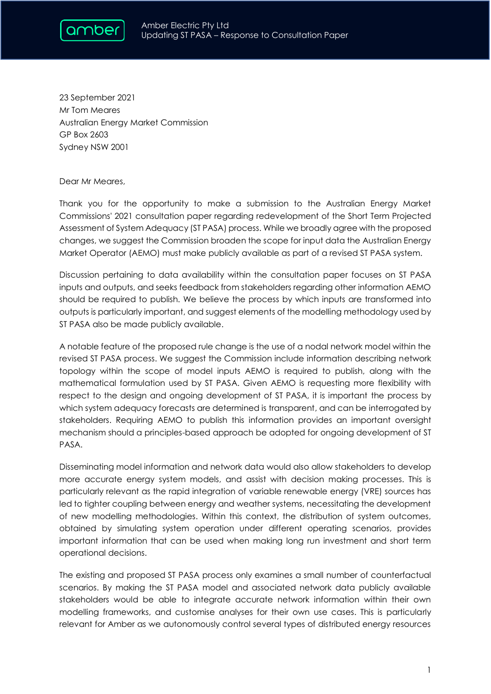

23 September 2021 Mr Tom Meares Australian Energy Market Commission GP Box 2603 Sydney NSW 2001

## Dear Mr Meares,

Thank you for the opportunity to make a submission to the Australian Energy Market Commissions' 2021 consultation paper regarding redevelopment of the Short Term Projected Assessment of System Adequacy (ST PASA) process. While we broadly agree with the proposed changes, we suggest the Commission broaden the scope for input data the Australian Energy Market Operator (AEMO) must make publicly available as part of a revised ST PASA system.

Discussion pertaining to data availability within the consultation paper focuses on ST PASA inputs and outputs, and seeks feedback from stakeholders regarding other information AEMO should be required to publish. We believe the process by which inputs are transformed into outputs is particularly important, and suggest elements of the modelling methodology used by ST PASA also be made publicly available.

A notable feature of the proposed rule change is the use of a nodal network model within the revised ST PASA process. We suggest the Commission include information describing network topology within the scope of model inputs AEMO is required to publish, along with the mathematical formulation used by ST PASA. Given AEMO is requesting more flexibility with respect to the design and ongoing development of ST PASA, it is important the process by which system adequacy forecasts are determined is transparent, and can be interrogated by stakeholders. Requiring AEMO to publish this information provides an important oversight mechanism should a principles-based approach be adopted for ongoing development of ST PASA.

Disseminating model information and network data would also allow stakeholders to develop more accurate energy system models, and assist with decision making processes. This is particularly relevant as the rapid integration of variable renewable energy (VRE) sources has led to tighter coupling between energy and weather systems, necessitating the development of new modelling methodologies. Within this context, the distribution of system outcomes, obtained by simulating system operation under different operating scenarios, provides important information that can be used when making long run investment and short term operational decisions.

The existing and proposed ST PASA process only examines a small number of counterfactual scenarios. By making the ST PASA model and associated network data publicly available stakeholders would be able to integrate accurate network information within their own modelling frameworks, and customise analyses for their own use cases. This is particularly relevant for Amber as we autonomously control several types of distributed energy resources